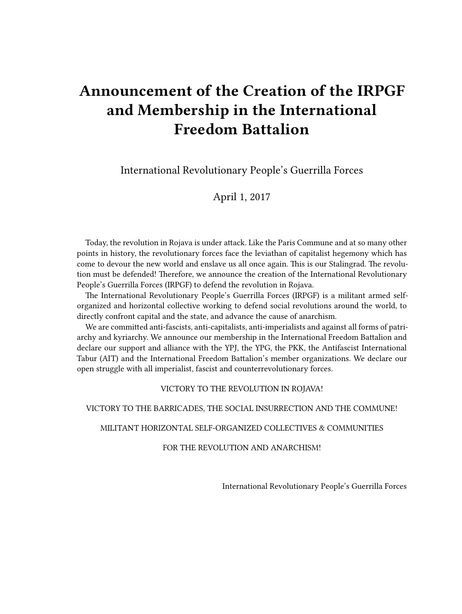## **Announcement of the Creation of the IRPGF and Membership in the International Freedom Battalion**

International Revolutionary People's Guerrilla Forces

April 1, 2017

Today, the revolution in Rojava is under attack. Like the Paris Commune and at so many other points in history, the revolutionary forces face the leviathan of capitalist hegemony which has come to devour the new world and enslave us all once again. This is our Stalingrad. The revolution must be defended! Therefore, we announce the creation of the International Revolutionary People's Guerrilla Forces (IRPGF) to defend the revolution in Rojava.

The International Revolutionary People's Guerrilla Forces (IRPGF) is a militant armed selforganized and horizontal collective working to defend social revolutions around the world, to directly confront capital and the state, and advance the cause of anarchism.

We are committed anti-fascists, anti-capitalists, anti-imperialists and against all forms of patriarchy and kyriarchy. We announce our membership in the International Freedom Battalion and declare our support and alliance with the YPJ, the YPG, the PKK, the Antifascist International Tabur (AIT) and the International Freedom Battalion's member organizations. We declare our open struggle with all imperialist, fascist and counterrevolutionary forces.

VICTORY TO THE REVOLUTION IN ROJAVA!

VICTORY TO THE BARRICADES, THE SOCIAL INSURRECTION AND THE COMMUNE!

MILITANT HORIZONTAL SELF-ORGANIZED COLLECTIVES & COMMUNITIES

FOR THE REVOLUTION AND ANARCHISM!

International Revolutionary People's Guerrilla Forces